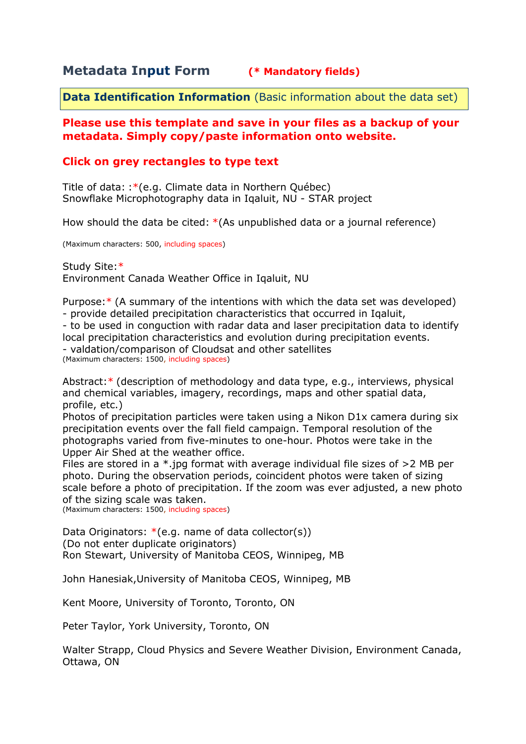## **Metadata Input Form (\* Mandatory fields)**

**Data Identification Information** (Basic information about the data set)

#### **Please use this template and save in your files as a backup of your metadata. Simply copy/paste information onto website.**

### **Click on grey rectangles to type text**

Title of data: :\*(e.g. Climate data in Northern Québec) Snowflake Microphotography data in Iqaluit, NU - STAR project

How should the data be cited: \*(As unpublished data or a journal reference)

(Maximum characters: 500, including spaces)

Study Site:\* Environment Canada Weather Office in Iqaluit, NU

Purpose:\* (A summary of the intentions with which the data set was developed) - provide detailed precipitation characteristics that occurred in Iqaluit,

- to be used in conguction with radar data and laser precipitation data to identify local precipitation characteristics and evolution during precipitation events. - valdation/comparison of Cloudsat and other satellites (Maximum characters: 1500, including spaces)

Abstract:\* (description of methodology and data type, e.g., interviews, physical and chemical variables, imagery, recordings, maps and other spatial data, profile, etc.)

Photos of precipitation particles were taken using a Nikon D1x camera during six precipitation events over the fall field campaign. Temporal resolution of the photographs varied from five-minutes to one-hour. Photos were take in the Upper Air Shed at the weather office.

Files are stored in a \*.jpg format with average individual file sizes of >2 MB per photo. During the observation periods, coincident photos were taken of sizing scale before a photo of precipitation. If the zoom was ever adjusted, a new photo of the sizing scale was taken.

(Maximum characters: 1500, including spaces)

Data Originators:  $*(e.g.$  name of data collector(s)) (Do not enter duplicate originators) Ron Stewart, University of Manitoba CEOS, Winnipeg, MB

John Hanesiak,University of Manitoba CEOS, Winnipeg, MB

Kent Moore, University of Toronto, Toronto, ON

Peter Taylor, York University, Toronto, ON

Walter Strapp, Cloud Physics and Severe Weather Division, Environment Canada, Ottawa, ON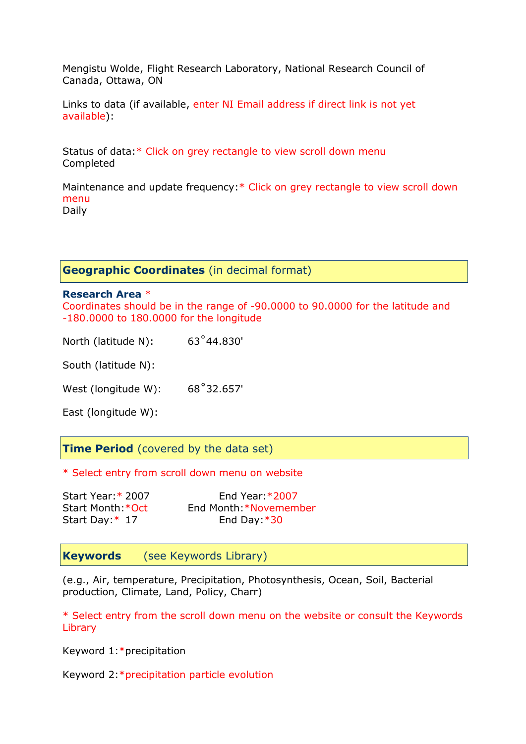Mengistu Wolde, Flight Research Laboratory, National Research Council of Canada, Ottawa, ON

Links to data (if available, enter NI Email address if direct link is not yet available):

Status of data:\* Click on grey rectangle to view scroll down menu Completed

Maintenance and update frequency:\* Click on grey rectangle to view scroll down menu Daily

**Geographic Coordinates** (in decimal format)

#### **Research Area** \*

Coordinates should be in the range of -90.0000 to 90.0000 for the latitude and -180.0000 to 180.0000 for the longitude

North (latitude N): 63˚44.830'

South (latitude N):

West (longitude W): 68°32.657'

East (longitude W):

**Time Period** (covered by the data set)

\* Select entry from scroll down menu on website

| Start Year: * 2007 | End Year: $*2007$      |
|--------------------|------------------------|
| Start Month: * Oct | End Month: *Novemember |
| Start Day: $*$ 17  | End Day: $*30$         |

**Keywords** (see Keywords Library)

(e.g., Air, temperature, Precipitation, Photosynthesis, Ocean, Soil, Bacterial production, Climate, Land, Policy, Charr)

\* Select entry from the scroll down menu on the website or consult the Keywords Library

Keyword 1:\*precipitation

Keyword 2:\*precipitation particle evolution